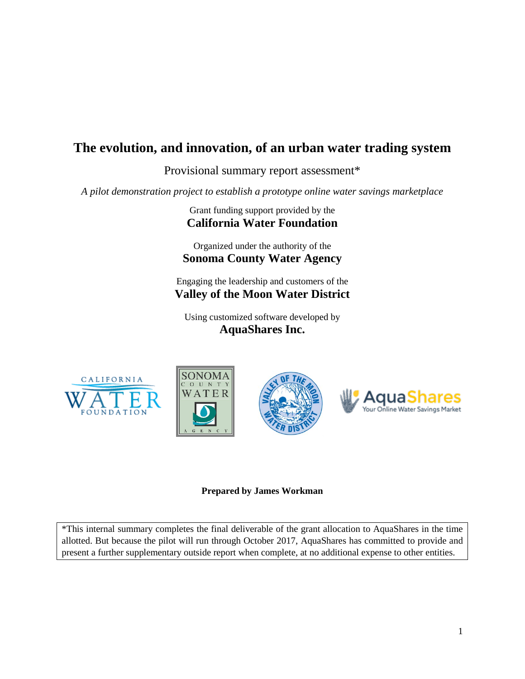# **The evolution, and innovation, of an urban water trading system**

Provisional summary report assessment\*

*A pilot demonstration project to establish a prototype online water savings marketplace*

Grant funding support provided by the **California Water Foundation**

Organized under the authority of the **Sonoma County Water Agency**

Engaging the leadership and customers of the **Valley of the Moon Water District**

Using customized software developed by **AquaShares Inc.**









## **Prepared by James Workman**

\*This internal summary completes the final deliverable of the grant allocation to AquaShares in the time allotted. But because the pilot will run through October 2017, AquaShares has committed to provide and present a further supplementary outside report when complete, at no additional expense to other entities.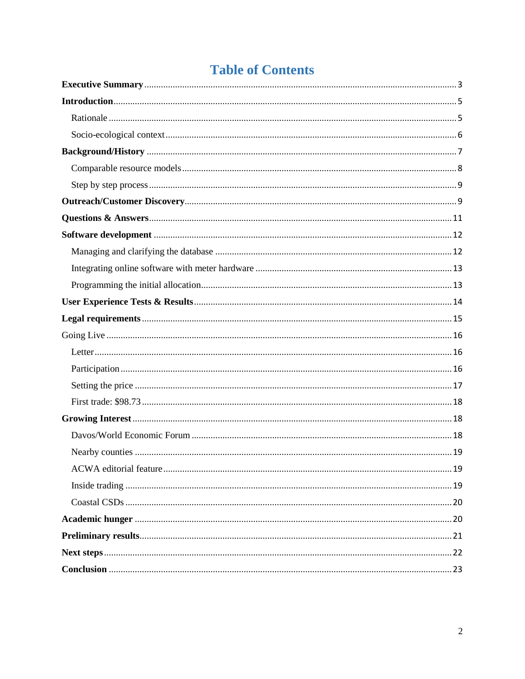# **Table of Contents**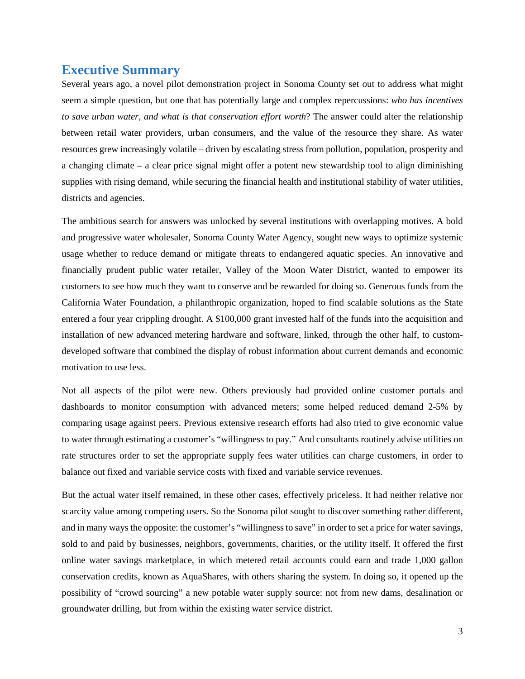# <span id="page-2-0"></span>**Executive Summary**

Several years ago, a novel pilot demonstration project in Sonoma County set out to address what might seem a simple question, but one that has potentially large and complex repercussions: *who has incentives to save urban water, and what is that conservation effort worth*? The answer could alter the relationship between retail water providers, urban consumers, and the value of the resource they share. As water resources grew increasingly volatile – driven by escalating stress from pollution, population, prosperity and a changing climate – a clear price signal might offer a potent new stewardship tool to align diminishing supplies with rising demand, while securing the financial health and institutional stability of water utilities, districts and agencies.

The ambitious search for answers was unlocked by several institutions with overlapping motives. A bold and progressive water wholesaler, Sonoma County Water Agency, sought new ways to optimize systemic usage whether to reduce demand or mitigate threats to endangered aquatic species. An innovative and financially prudent public water retailer, Valley of the Moon Water District, wanted to empower its customers to see how much they want to conserve and be rewarded for doing so. Generous funds from the California Water Foundation, a philanthropic organization, hoped to find scalable solutions as the State entered a four year crippling drought. A \$100,000 grant invested half of the funds into the acquisition and installation of new advanced metering hardware and software, linked, through the other half, to customdeveloped software that combined the display of robust information about current demands and economic motivation to use less.

Not all aspects of the pilot were new. Others previously had provided online customer portals and dashboards to monitor consumption with advanced meters; some helped reduced demand 2-5% by comparing usage against peers. Previous extensive research efforts had also tried to give economic value to water through estimating a customer's "willingness to pay." And consultants routinely advise utilities on rate structures order to set the appropriate supply fees water utilities can charge customers, in order to balance out fixed and variable service costs with fixed and variable service revenues.

But the actual water itself remained, in these other cases, effectively priceless. It had neither relative nor scarcity value among competing users. So the Sonoma pilot sought to discover something rather different, and in many ways the opposite: the customer's "willingness to save" in order to set a price for water savings, sold to and paid by businesses, neighbors, governments, charities, or the utility itself. It offered the first online water savings marketplace, in which metered retail accounts could earn and trade 1,000 gallon conservation credits, known as AquaShares, with others sharing the system. In doing so, it opened up the possibility of "crowd sourcing" a new potable water supply source: not from new dams, desalination or groundwater drilling, but from within the existing water service district.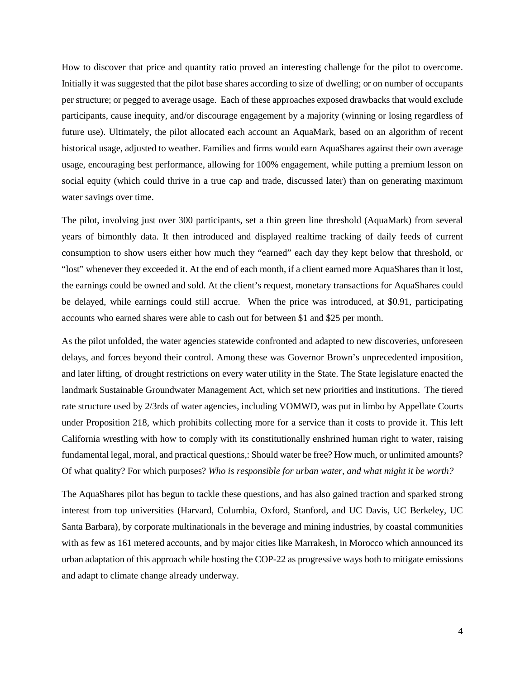How to discover that price and quantity ratio proved an interesting challenge for the pilot to overcome. Initially it was suggested that the pilot base shares according to size of dwelling; or on number of occupants per structure; or pegged to average usage. Each of these approaches exposed drawbacks that would exclude participants, cause inequity, and/or discourage engagement by a majority (winning or losing regardless of future use). Ultimately, the pilot allocated each account an AquaMark, based on an algorithm of recent historical usage, adjusted to weather. Families and firms would earn AquaShares against their own average usage, encouraging best performance, allowing for 100% engagement, while putting a premium lesson on social equity (which could thrive in a true cap and trade, discussed later) than on generating maximum water savings over time.

The pilot, involving just over 300 participants, set a thin green line threshold (AquaMark) from several years of bimonthly data. It then introduced and displayed realtime tracking of daily feeds of current consumption to show users either how much they "earned" each day they kept below that threshold, or "lost" whenever they exceeded it. At the end of each month, if a client earned more AquaShares than it lost, the earnings could be owned and sold. At the client's request, monetary transactions for AquaShares could be delayed, while earnings could still accrue. When the price was introduced, at \$0.91, participating accounts who earned shares were able to cash out for between \$1 and \$25 per month.

As the pilot unfolded, the water agencies statewide confronted and adapted to new discoveries, unforeseen delays, and forces beyond their control. Among these was Governor Brown's unprecedented imposition, and later lifting, of drought restrictions on every water utility in the State. The State legislature enacted the landmark Sustainable Groundwater Management Act, which set new priorities and institutions. The tiered rate structure used by 2/3rds of water agencies, including VOMWD, was put in limbo by Appellate Courts under Proposition 218, which prohibits collecting more for a service than it costs to provide it. This left California wrestling with how to comply with its constitutionally enshrined human right to water, raising fundamental legal, moral, and practical questions,: Should water be free? How much, or unlimited amounts? Of what quality? For which purposes? *Who is responsible for urban water, and what might it be worth?*

The AquaShares pilot has begun to tackle these questions, and has also gained traction and sparked strong interest from top universities (Harvard, Columbia, Oxford, Stanford, and UC Davis, UC Berkeley, UC Santa Barbara), by corporate multinationals in the beverage and mining industries, by coastal communities with as few as 161 metered accounts, and by major cities like Marrakesh, in Morocco which announced its urban adaptation of this approach while hosting the COP-22 as progressive ways both to mitigate emissions and adapt to climate change already underway.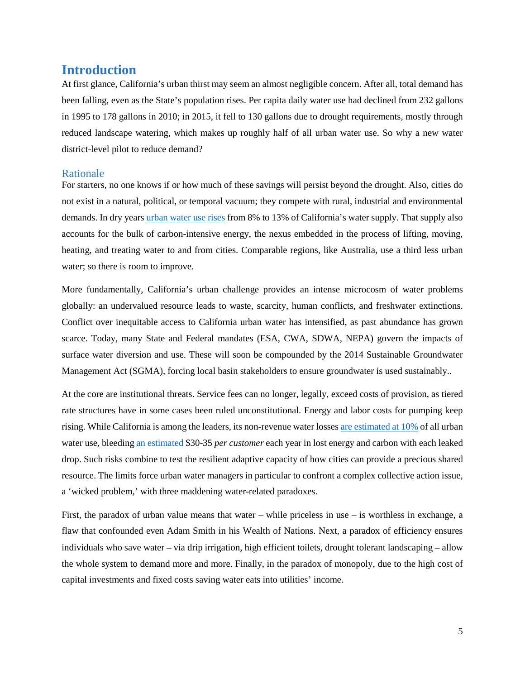# <span id="page-4-0"></span>**Introduction**

At first glance, California's urban thirst may seem an almost negligible concern. After all, total demand has been falling, even as the State's population rises. Per capita daily water use had declined from 232 gallons in 1995 to 178 gallons in 2010; in 2015, it fell to 130 gallons due to drought requirements, mostly through reduced landscape watering, which makes up roughly half of all urban water use. So why a new water district-level pilot to reduce demand?

#### <span id="page-4-1"></span>Rationale

For starters, no one knows if or how much of these savings will persist beyond the drought. Also, cities do not exist in a natural, political, or temporal vacuum; they compete with rural, industrial and environmental demands. In dry years [urban water use rises](http://www.ppic.org/main/publication_show.asp?i=1108) from 8% to 13% of California's water supply. That supply also accounts for the bulk of carbon-intensive energy, the nexus embedded in the process of lifting, moving, heating, and treating water to and from cities. Comparable regions, like Australia, use a third less urban water; so there is room to improve.

More fundamentally, California's urban challenge provides an intense microcosm of water problems globally: an undervalued resource leads to waste, scarcity, human conflicts, and freshwater extinctions. Conflict over inequitable access to California urban water has intensified, as past abundance has grown scarce. Today, many State and Federal mandates (ESA, CWA, SDWA, NEPA) govern the impacts of surface water diversion and use. These will soon be compounded by the 2014 Sustainable Groundwater Management Act (SGMA), forcing local basin stakeholders to ensure groundwater is used sustainably..

At the core are institutional threats. Service fees can no longer, legally, exceed costs of provision, as tiered rate structures have in some cases been ruled unconstitutional. Energy and labor costs for pumping keep rising. While California is among the leaders, its non-revenue water losse[s are estimated at 10%](http://www.mercurynews.com/2015/10/09/california-drought-leaky-water-pipes-losing-billions-of-gallons-targeted-by-new-state-law/) of all urban water use, bleeding [an estimated](http://www.cavanaughsolutions.com/nrw-integral-to-address-californias-water-emergency/) \$30-35 *per customer* each year in lost energy and carbon with each leaked drop. Such risks combine to test the resilient adaptive capacity of how cities can provide a precious shared resource. The limits force urban water managers in particular to confront a complex collective action issue, a 'wicked problem,' with three maddening water-related paradoxes.

First, the paradox of urban value means that water – while priceless in use – is worthless in exchange, a flaw that confounded even Adam Smith in his Wealth of Nations. Next, a paradox of efficiency ensures individuals who save water – via drip irrigation, high efficient toilets, drought tolerant landscaping – allow the whole system to demand more and more. Finally, in the paradox of monopoly, due to the high cost of capital investments and fixed costs saving water eats into utilities' income.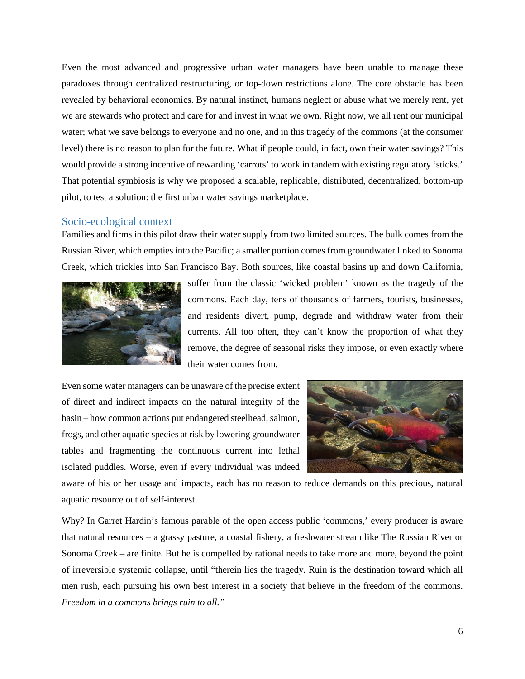Even the most advanced and progressive urban water managers have been unable to manage these paradoxes through centralized restructuring, or top-down restrictions alone. The core obstacle has been revealed by behavioral economics. By natural instinct, humans neglect or abuse what we merely rent, yet we are stewards who protect and care for and invest in what we own. Right now, we all rent our municipal water; what we save belongs to everyone and no one, and in this tragedy of the commons (at the consumer level) there is no reason to plan for the future. What if people could, in fact, own their water savings? This would provide a strong incentive of rewarding 'carrots' to work in tandem with existing regulatory 'sticks.' That potential symbiosis is why we proposed a scalable, replicable, distributed, decentralized, bottom-up pilot, to test a solution: the first urban water savings marketplace.

#### <span id="page-5-0"></span>Socio-ecological context

Families and firms in this pilot draw their water supply from two limited sources. The bulk comes from the Russian River, which empties into the Pacific; a smaller portion comes from groundwater linked to Sonoma Creek, which trickles into San Francisco Bay. Both sources, like coastal basins up and down California,



suffer from the classic 'wicked problem' known as the tragedy of the commons. Each day, tens of thousands of farmers, tourists, businesses, and residents divert, pump, degrade and withdraw water from their currents. All too often, they can't know the proportion of what they remove, the degree of seasonal risks they impose, or even exactly where their water comes from.

Even some water managers can be unaware of the precise extent of direct and indirect impacts on the natural integrity of the basin – how common actions put endangered steelhead, salmon, frogs, and other aquatic species at risk by lowering groundwater tables and fragmenting the continuous current into lethal isolated puddles. Worse, even if every individual was indeed



aware of his or her usage and impacts, each has no reason to reduce demands on this precious, natural aquatic resource out of self-interest.

Why? In Garret Hardin's famous parable of the open access public 'commons,' every producer is aware that natural resources – a grassy pasture, a coastal fishery, a freshwater stream like The Russian River or Sonoma Creek – are finite. But he is compelled by rational needs to take more and more, beyond the point of irreversible systemic collapse, until "therein lies the tragedy. Ruin is the destination toward which all men rush, each pursuing his own best interest in a society that believe in the freedom of the commons. *Freedom in a commons brings ruin to all."*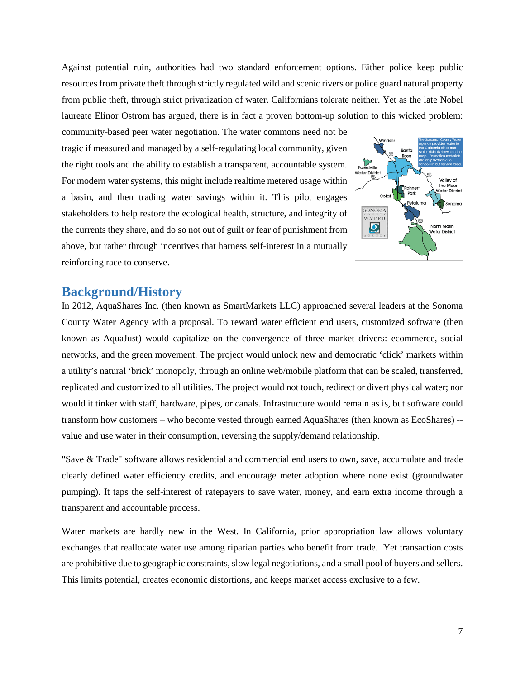Against potential ruin, authorities had two standard enforcement options. Either police keep public resources from private theft through strictly regulated wild and scenic rivers or police guard natural property from public theft, through strict privatization of water. Californians tolerate neither. Yet as the late Nobel laureate Elinor Ostrom has argued, there is in fact a proven bottom-up solution to this wicked problem:

community-based peer water negotiation. The water commons need not be tragic if measured and managed by a self-regulating local community, given the right tools and the ability to establish a transparent, accountable system. For modern water systems, this might include realtime metered usage within a basin, and then trading water savings within it. This pilot engages stakeholders to help restore the ecological health, structure, and integrity of the currents they share, and do so not out of guilt or fear of punishment from above, but rather through incentives that harness self-interest in a mutually reinforcing race to conserve.



## <span id="page-6-0"></span>**Background/History**

In 2012, AquaShares Inc. (then known as SmartMarkets LLC) approached several leaders at the Sonoma County Water Agency with a proposal. To reward water efficient end users, customized software (then known as AquaJust) would capitalize on the convergence of three market drivers: ecommerce, social networks, and the green movement. The project would unlock new and democratic 'click' markets within a utility's natural 'brick' monopoly, through an online web/mobile platform that can be scaled, transferred, replicated and customized to all utilities. The project would not touch, redirect or divert physical water; nor would it tinker with staff, hardware, pipes, or canals. Infrastructure would remain as is, but software could transform how customers – who become vested through earned AquaShares (then known as EcoShares) - value and use water in their consumption, reversing the supply/demand relationship.

"Save & Trade" software allows residential and commercial end users to own, save, accumulate and trade clearly defined water efficiency credits, and encourage meter adoption where none exist (groundwater pumping). It taps the self-interest of ratepayers to save water, money, and earn extra income through a transparent and accountable process.

Water markets are hardly new in the West. In California, prior appropriation law allows voluntary exchanges that reallocate water use among riparian parties who benefit from trade. Yet transaction costs are prohibitive due to geographic constraints, slow legal negotiations, and a small pool of buyers and sellers. This limits potential, creates economic distortions, and keeps market access exclusive to a few.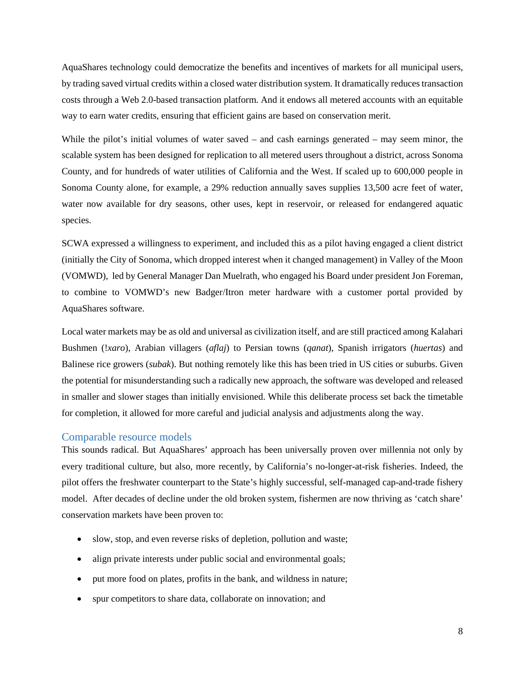AquaShares technology could democratize the benefits and incentives of markets for all municipal users, by trading saved virtual credits within a closed water distribution system. It dramatically reduces transaction costs through a Web 2.0-based transaction platform. And it endows all metered accounts with an equitable way to earn water credits, ensuring that efficient gains are based on conservation merit.

While the pilot's initial volumes of water saved – and cash earnings generated – may seem minor, the scalable system has been designed for replication to all metered users throughout a district, across Sonoma County, and for hundreds of water utilities of California and the West. If scaled up to 600,000 people in Sonoma County alone, for example, a 29% reduction annually saves supplies 13,500 acre feet of water, water now available for dry seasons, other uses, kept in reservoir, or released for endangered aquatic species.

SCWA expressed a willingness to experiment, and included this as a pilot having engaged a client district (initially the City of Sonoma, which dropped interest when it changed management) in Valley of the Moon (VOMWD), led by General Manager Dan Muelrath, who engaged his Board under president Jon Foreman, to combine to VOMWD's new Badger/Itron meter hardware with a customer portal provided by AquaShares software.

Local water markets may be as old and universal as civilization itself, and are still practiced among Kalahari Bushmen (!*xaro*), Arabian villagers (*aflaj*) to Persian towns (*qanat*), Spanish irrigators (*huertas*) and Balinese rice growers (*subak*). But nothing remotely like this has been tried in US cities or suburbs. Given the potential for misunderstanding such a radically new approach, the software was developed and released in smaller and slower stages than initially envisioned. While this deliberate process set back the timetable for completion, it allowed for more careful and judicial analysis and adjustments along the way.

#### <span id="page-7-0"></span>Comparable resource models

This sounds radical. But AquaShares' approach has been universally proven over millennia not only by every traditional culture, but also, more recently, by California's no-longer-at-risk fisheries. Indeed, the pilot offers the freshwater counterpart to the State's highly successful, self-managed cap-and-trade fishery model. After decades of decline under the old broken system, fishermen are now thriving as 'catch share' conservation markets have been proven to:

- slow, stop, and even reverse risks of depletion, pollution and waste;
- align private interests under public social and environmental goals;
- put more food on plates, profits in the bank, and wildness in nature;
- spur competitors to share data, collaborate on innovation; and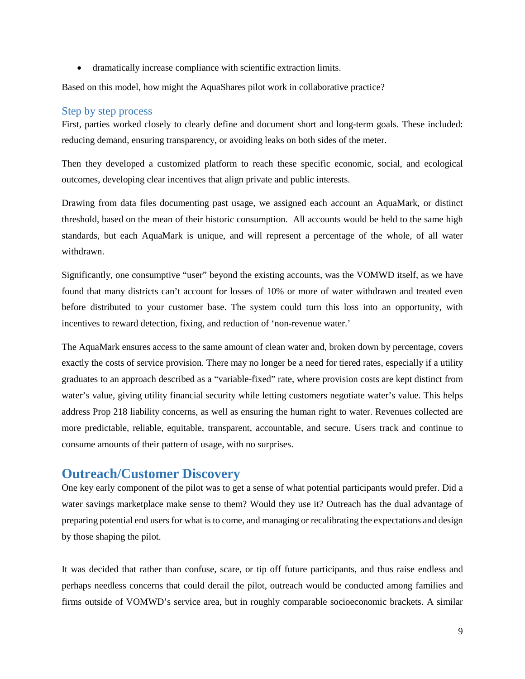• dramatically increase compliance with scientific extraction limits.

Based on this model, how might the AquaShares pilot work in collaborative practice?

#### <span id="page-8-0"></span>Step by step process

First, parties worked closely to clearly define and document short and long-term goals. These included: reducing demand, ensuring transparency, or avoiding leaks on both sides of the meter.

Then they developed a customized platform to reach these specific economic, social, and ecological outcomes, developing clear incentives that align private and public interests.

Drawing from data files documenting past usage, we assigned each account an AquaMark, or distinct threshold, based on the mean of their historic consumption. All accounts would be held to the same high standards, but each AquaMark is unique, and will represent a percentage of the whole, of all water withdrawn.

Significantly, one consumptive "user" beyond the existing accounts, was the VOMWD itself, as we have found that many districts can't account for losses of 10% or more of water withdrawn and treated even before distributed to your customer base. The system could turn this loss into an opportunity, with incentives to reward detection, fixing, and reduction of 'non-revenue water.'

The AquaMark ensures access to the same amount of clean water and, broken down by percentage, covers exactly the costs of service provision. There may no longer be a need for tiered rates, especially if a utility graduates to an approach described as a "variable-fixed" rate, where provision costs are kept distinct from water's value, giving utility financial security while letting customers negotiate water's value. This helps address Prop 218 liability concerns, as well as ensuring the human right to water. Revenues collected are more predictable, reliable, equitable, transparent, accountable, and secure. Users track and continue to consume amounts of their pattern of usage, with no surprises.

# <span id="page-8-1"></span>**Outreach/Customer Discovery**

One key early component of the pilot was to get a sense of what potential participants would prefer. Did a water savings marketplace make sense to them? Would they use it? Outreach has the dual advantage of preparing potential end users for what is to come, and managing or recalibrating the expectations and design by those shaping the pilot.

It was decided that rather than confuse, scare, or tip off future participants, and thus raise endless and perhaps needless concerns that could derail the pilot, outreach would be conducted among families and firms outside of VOMWD's service area, but in roughly comparable socioeconomic brackets. A similar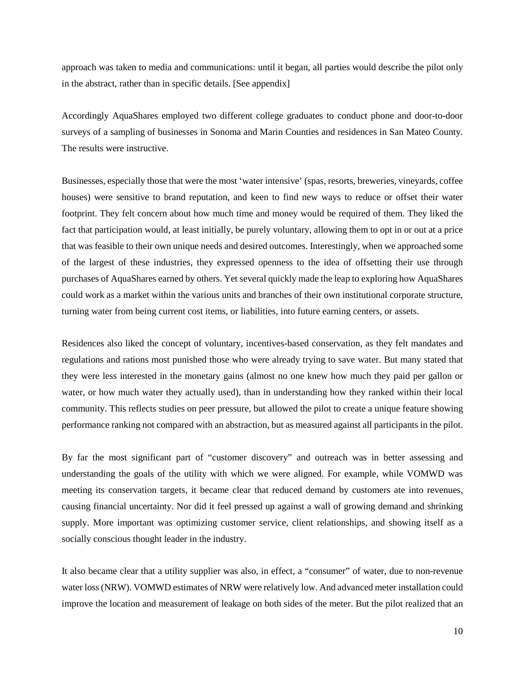approach was taken to media and communications: until it began, all parties would describe the pilot only in the abstract, rather than in specific details. [See appendix]

Accordingly AquaShares employed two different college graduates to conduct phone and door-to-door surveys of a sampling of businesses in Sonoma and Marin Counties and residences in San Mateo County. The results were instructive.

Businesses, especially those that were the most 'water intensive' (spas, resorts, breweries, vineyards, coffee houses) were sensitive to brand reputation, and keen to find new ways to reduce or offset their water footprint. They felt concern about how much time and money would be required of them. They liked the fact that participation would, at least initially, be purely voluntary, allowing them to opt in or out at a price that was feasible to their own unique needs and desired outcomes. Interestingly, when we approached some of the largest of these industries, they expressed openness to the idea of offsetting their use through purchases of AquaShares earned by others. Yet several quickly made the leap to exploring how AquaShares could work as a market within the various units and branches of their own institutional corporate structure, turning water from being current cost items, or liabilities, into future earning centers, or assets.

Residences also liked the concept of voluntary, incentives-based conservation, as they felt mandates and regulations and rations most punished those who were already trying to save water. But many stated that they were less interested in the monetary gains (almost no one knew how much they paid per gallon or water, or how much water they actually used), than in understanding how they ranked within their local community. This reflects studies on peer pressure, but allowed the pilot to create a unique feature showing performance ranking not compared with an abstraction, but as measured against all participants in the pilot.

By far the most significant part of "customer discovery" and outreach was in better assessing and understanding the goals of the utility with which we were aligned. For example, while VOMWD was meeting its conservation targets, it became clear that reduced demand by customers ate into revenues, causing financial uncertainty. Nor did it feel pressed up against a wall of growing demand and shrinking supply. More important was optimizing customer service, client relationships, and showing itself as a socially conscious thought leader in the industry.

It also became clear that a utility supplier was also, in effect, a "consumer" of water, due to non-revenue water loss(NRW). VOMWD estimates of NRW were relatively low. And advanced meter installation could improve the location and measurement of leakage on both sides of the meter. But the pilot realized that an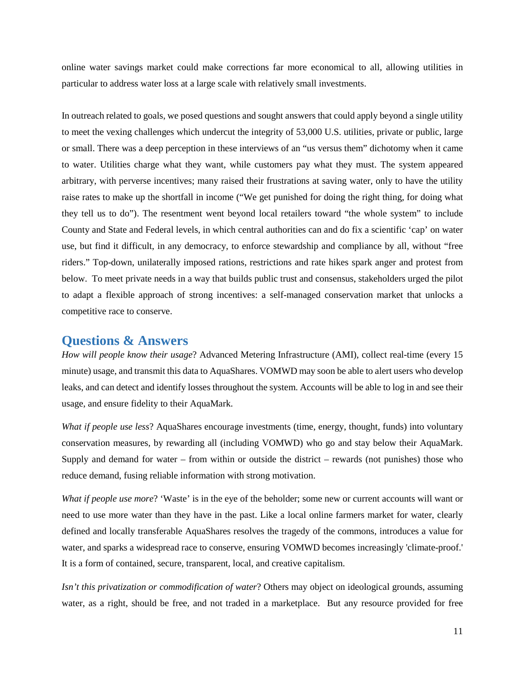online water savings market could make corrections far more economical to all, allowing utilities in particular to address water loss at a large scale with relatively small investments.

In outreach related to goals, we posed questions and sought answers that could apply beyond a single utility to meet the vexing challenges which undercut the integrity of 53,000 U.S. utilities, private or public, large or small. There was a deep perception in these interviews of an "us versus them" dichotomy when it came to water. Utilities charge what they want, while customers pay what they must. The system appeared arbitrary, with perverse incentives; many raised their frustrations at saving water, only to have the utility raise rates to make up the shortfall in income ("We get punished for doing the right thing, for doing what they tell us to do"). The resentment went beyond local retailers toward "the whole system" to include County and State and Federal levels, in which central authorities can and do fix a scientific 'cap' on water use, but find it difficult, in any democracy, to enforce stewardship and compliance by all, without "free riders." Top-down, unilaterally imposed rations, restrictions and rate hikes spark anger and protest from below. To meet private needs in a way that builds public trust and consensus, stakeholders urged the pilot to adapt a flexible approach of strong incentives: a self-managed conservation market that unlocks a competitive race to conserve.

## <span id="page-10-0"></span>**Questions & Answers**

*How will people know their usage*? Advanced Metering Infrastructure (AMI), collect real-time (every 15 minute) usage, and transmit this data to AquaShares. VOMWD may soon be able to alert users who develop leaks, and can detect and identify losses throughout the system. Accounts will be able to log in and see their usage, and ensure fidelity to their AquaMark.

*What if people use less*? AquaShares encourage investments (time, energy, thought, funds) into voluntary conservation measures, by rewarding all (including VOMWD) who go and stay below their AquaMark. Supply and demand for water – from within or outside the district – rewards (not punishes) those who reduce demand, fusing reliable information with strong motivation.

*What if people use more*? 'Waste' is in the eye of the beholder; some new or current accounts will want or need to use more water than they have in the past. Like a local online farmers market for water, clearly defined and locally transferable AquaShares resolves the tragedy of the commons, introduces a value for water, and sparks a widespread race to conserve, ensuring VOMWD becomes increasingly 'climate-proof.' It is a form of contained, secure, transparent, local, and creative capitalism.

*Isn't this privatization or commodification of water*? Others may object on ideological grounds, assuming water, as a right, should be free, and not traded in a marketplace. But any resource provided for free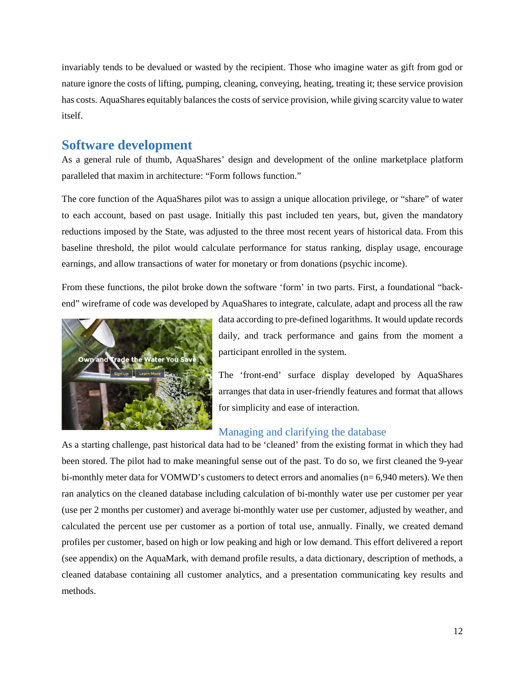invariably tends to be devalued or wasted by the recipient. Those who imagine water as gift from god or nature ignore the costs of lifting, pumping, cleaning, conveying, heating, treating it; these service provision has costs. AquaShares equitably balances the costs of service provision, while giving scarcity value to water itself.

# <span id="page-11-0"></span>**Software development**

As a general rule of thumb, AquaShares' design and development of the online marketplace platform paralleled that maxim in architecture: "Form follows function."

The core function of the AquaShares pilot was to assign a unique allocation privilege, or "share" of water to each account, based on past usage. Initially this past included ten years, but, given the mandatory reductions imposed by the State, was adjusted to the three most recent years of historical data. From this baseline threshold, the pilot would calculate performance for status ranking, display usage, encourage earnings, and allow transactions of water for monetary or from donations (psychic income).

From these functions, the pilot broke down the software 'form' in two parts. First, a foundational "backend" wireframe of code was developed by AquaShares to integrate, calculate, adapt and process all the raw



data according to pre-defined logarithms. It would update records daily, and track performance and gains from the moment a participant enrolled in the system.

The 'front-end' surface display developed by AquaShares arranges that data in user-friendly features and format that allows for simplicity and ease of interaction.

# <span id="page-11-1"></span>Managing and clarifying the database

As a starting challenge, past historical data had to be 'cleaned' from the existing format in which they had been stored. The pilot had to make meaningful sense out of the past. To do so, we first cleaned the 9-year bi-monthly meter data for VOMWD's customers to detect errors and anomalies (n= 6,940 meters). We then ran analytics on the cleaned database including calculation of bi-monthly water use per customer per year (use per 2 months per customer) and average bi-monthly water use per customer, adjusted by weather, and calculated the percent use per customer as a portion of total use, annually. Finally, we created demand profiles per customer, based on high or low peaking and high or low demand. This effort delivered a report (see appendix) on the AquaMark, with demand profile results, a data dictionary, description of methods, a cleaned database containing all customer analytics, and a presentation communicating key results and methods.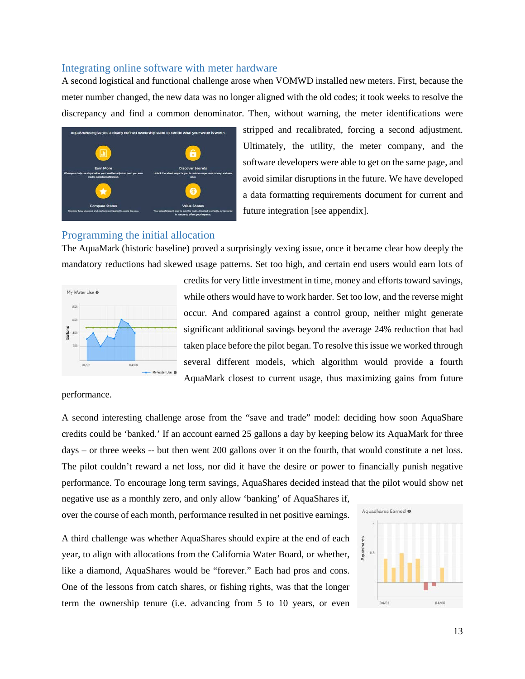#### <span id="page-12-0"></span>Integrating online software with meter hardware

A second logistical and functional challenge arose when VOMWD installed new meters. First, because the meter number changed, the new data was no longer aligned with the old codes; it took weeks to resolve the discrepancy and find a common denominator. Then, without warning, the meter identifications were



stripped and recalibrated, forcing a second adjustment. Ultimately, the utility, the meter company, and the software developers were able to get on the same page, and avoid similar disruptions in the future. We have developed a data formatting requirements document for current and future integration [see appendix].

#### <span id="page-12-1"></span>Programming the initial allocation

The AquaMark (historic baseline) proved a surprisingly vexing issue, once it became clear how deeply the mandatory reductions had skewed usage patterns. Set too high, and certain end users would earn lots of



credits for very little investment in time, money and efforts toward savings, while others would have to work harder. Set too low, and the reverse might occur. And compared against a control group, neither might generate significant additional savings beyond the average 24% reduction that had taken place before the pilot began. To resolve this issue we worked through several different models, which algorithm would provide a fourth AquaMark closest to current usage, thus maximizing gains from future

performance.

A second interesting challenge arose from the "save and trade" model: deciding how soon AquaShare credits could be 'banked.' If an account earned 25 gallons a day by keeping below its AquaMark for three days – or three weeks -- but then went 200 gallons over it on the fourth, that would constitute a net loss. The pilot couldn't reward a net loss, nor did it have the desire or power to financially punish negative performance. To encourage long term savings, AquaShares decided instead that the pilot would show net

negative use as a monthly zero, and only allow 'banking' of AquaShares if, over the course of each month, performance resulted in net positive earnings.

A third challenge was whether AquaShares should expire at the end of each year, to align with allocations from the California Water Board, or whether, like a diamond, AquaShares would be "forever." Each had pros and cons. One of the lessons from catch shares, or fishing rights, was that the longer term the ownership tenure (i.e. advancing from 5 to 10 years, or even

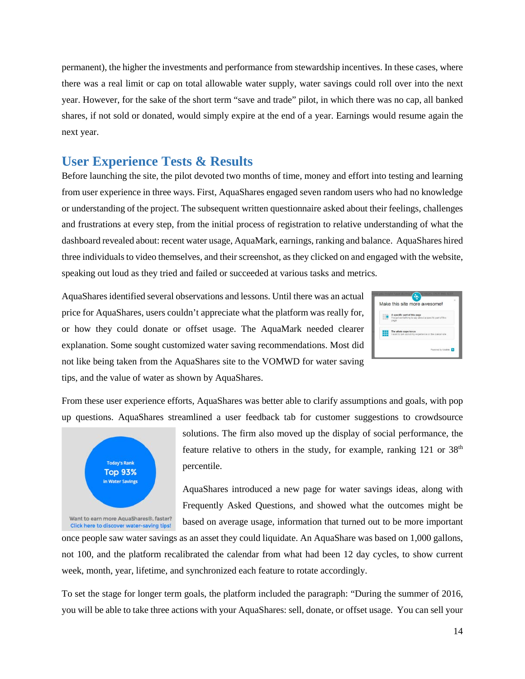permanent), the higher the investments and performance from stewardship incentives. In these cases, where there was a real limit or cap on total allowable water supply, water savings could roll over into the next year. However, for the sake of the short term "save and trade" pilot, in which there was no cap, all banked shares, if not sold or donated, would simply expire at the end of a year. Earnings would resume again the next year.

# <span id="page-13-0"></span>**User Experience Tests & Results**

Before launching the site, the pilot devoted two months of time, money and effort into testing and learning from user experience in three ways. First, AquaShares engaged seven random users who had no knowledge or understanding of the project. The subsequent written questionnaire asked about their feelings, challenges and frustrations at every step, from the initial process of registration to relative understanding of what the dashboard revealed about: recent water usage, AquaMark, earnings, ranking and balance. AquaShares hired three individuals to video themselves, and their screenshot, as they clicked on and engaged with the website, speaking out loud as they tried and failed or succeeded at various tasks and metrics.

AquaShares identified several observations and lessons. Until there was an actual price for AquaShares, users couldn't appreciate what the platform was really for, or how they could donate or offset usage. The AquaMark needed clearer explanation. Some sought customized water saving recommendations. Most did not like being taken from the AquaShares site to the VOMWD for water saving tips, and the value of water as shown by AquaShares.



From these user experience efforts, AquaShares was better able to clarify assumptions and goals, with pop up questions. AquaShares streamlined a user feedback tab for customer suggestions to crowdsource



solutions. The firm also moved up the display of social performance, the feature relative to others in the study, for example, ranking  $121$  or  $38<sup>th</sup>$ percentile.

AquaShares introduced a new page for water savings ideas, along with Frequently Asked Questions, and showed what the outcomes might be based on average usage, information that turned out to be more important

once people saw water savings as an asset they could liquidate. An AquaShare was based on 1,000 gallons, not 100, and the platform recalibrated the calendar from what had been 12 day cycles, to show current week, month, year, lifetime, and synchronized each feature to rotate accordingly.

To set the stage for longer term goals, the platform included the paragraph: "During the summer of 2016, you will be able to take three actions with your AquaShares: sell, donate, or offset usage. You can sell your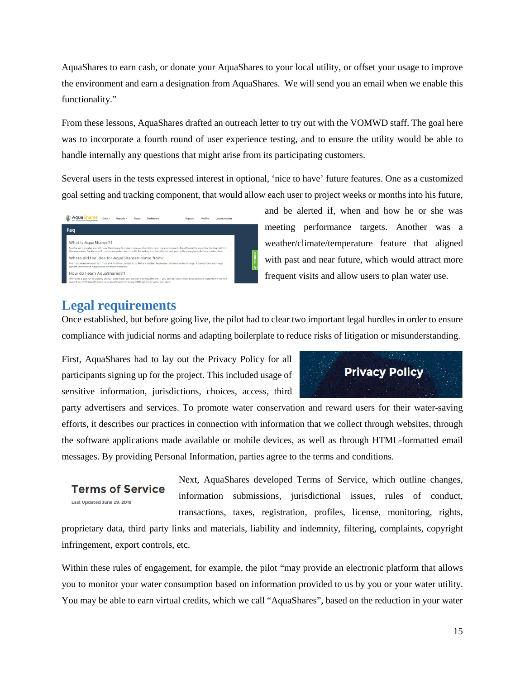AquaShares to earn cash, or donate your AquaShares to your local utility, or offset your usage to improve the environment and earn a designation from AquaShares. We will send you an email when we enable this functionality."

From these lessons, AquaShares drafted an outreach letter to try out with the VOMWD staff. The goal here was to incorporate a fourth round of user experience testing, and to ensure the utility would be able to handle internally any questions that might arise from its participating customers.

Several users in the tests expressed interest in optional, 'nice to have' future features. One as a customized goal setting and tracking component, that would allow each user to project weeks or months into his future,

|  | Four Civilina Whiter Souls no Market                                                                                                                                                                                                                                                                                      | Data - | Reports - | Pages | Dashboard | Support | Profile | Logout Admin |  |
|--|---------------------------------------------------------------------------------------------------------------------------------------------------------------------------------------------------------------------------------------------------------------------------------------------------------------------------|--------|-----------|-------|-----------|---------|---------|--------------|--|
|  | Faq                                                                                                                                                                                                                                                                                                                       |        |           |       |           |         |         |              |  |
|  | What is AquaShares <sup>®?</sup><br>Just by saving water you will have the chance to make money and contribute to the environment. AquaShares® is an online trading platform<br>that empowers families and firms to save water, earn credits for saving, and trade those savings credits through a voluntary marketplace. |        |           |       |           |         |         |              |  |
|  | Where did the idea for AquaShares® come from?<br>The most durable societies - from Bali, to Oman, to Spain, to Africa's Kalahari Bushmen - all share water through a proven local exchange<br>system, after which AguaShares has been modelled.                                                                           |        |           |       |           |         |         |              |  |
|  |                                                                                                                                                                                                                                                                                                                           |        |           |       |           |         |         |              |  |
|  | How do I earn AquaShares <sup>®</sup> ?                                                                                                                                                                                                                                                                                   |        |           |       |           |         |         |              |  |
|  | We've set a goal for you based on your past water use. We call it an AguaMark8. If you use less water than your personal AguaMark8 we will<br>reward you with AquaShares®, one AquaShare® for every 1,000 gallons of water you save.                                                                                      |        |           |       |           |         |         |              |  |

and be alerted if, when and how he or she was meeting performance targets. Another was a weather/climate/temperature feature that aligned with past and near future, which would attract more frequent visits and allow users to plan water use.

# <span id="page-14-0"></span>**Legal requirements**

Once established, but before going live, the pilot had to clear two important legal hurdles in order to ensure compliance with judicial norms and adapting boilerplate to reduce risks of litigation or misunderstanding.

First, AquaShares had to lay out the Privacy Policy for all participants signing up for the project. This included usage of sensitive information, jurisdictions, choices, access, third



party advertisers and services. To promote water conservation and reward users for their water-saving efforts, it describes our practices in connection with information that we collect through websites, through the software applications made available or mobile devices, as well as through HTML-formatted email messages. By providing Personal Information, parties agree to the terms and conditions.

**Terms of Service** Last Updated June 29, 2016

Next, AquaShares developed Terms of Service, which outline changes, information submissions, jurisdictional issues, rules of conduct, transactions, taxes, registration, profiles, license, monitoring, rights,

proprietary data, third party links and materials, liability and indemnity, filtering, complaints, copyright infringement, export controls, etc.

Within these rules of engagement, for example, the pilot "may provide an electronic platform that allows you to monitor your water consumption based on information provided to us by you or your water utility. You may be able to earn virtual credits, which we call "AquaShares", based on the reduction in your water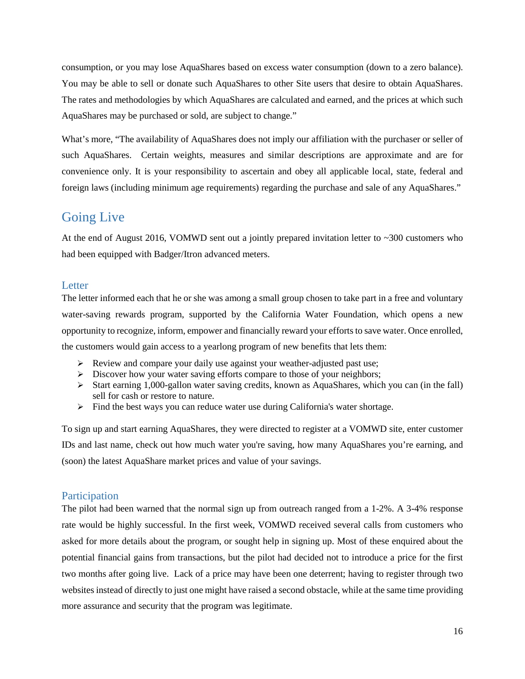consumption, or you may lose AquaShares based on excess water consumption (down to a zero balance). You may be able to sell or donate such AquaShares to other Site users that desire to obtain AquaShares. The rates and methodologies by which AquaShares are calculated and earned, and the prices at which such AquaShares may be purchased or sold, are subject to change."

What's more, "The availability of AquaShares does not imply our affiliation with the purchaser or seller of such AquaShares. Certain weights, measures and similar descriptions are approximate and are for convenience only. It is your responsibility to ascertain and obey all applicable local, state, federal and foreign laws (including minimum age requirements) regarding the purchase and sale of any AquaShares."

# <span id="page-15-0"></span>Going Live

At the end of August 2016, VOMWD sent out a jointly prepared invitation letter to  $\sim$  300 customers who had been equipped with Badger/Itron advanced meters.

## <span id="page-15-1"></span>Letter

The letter informed each that he or she was among a small group chosen to take part in a free and voluntary water-saving rewards program, supported by the California Water Foundation, which opens a new opportunity to recognize, inform, empower and financially reward your efforts to save water. Once enrolled, the customers would gain access to a yearlong program of new benefits that lets them:

- $\triangleright$  Review and compare your daily use against your weather-adjusted past use;
- $\triangleright$  Discover how your water saving efforts compare to those of your neighbors;
- $\triangleright$  Start earning 1,000-gallon water saving credits, known as AquaShares, which you can (in the fall) sell for cash or restore to nature.
- $\triangleright$  Find the best ways you can reduce water use during California's water shortage.

To sign up and start earning AquaShares, they were directed to register at a VOMWD site, enter customer IDs and last name, check out how much water you're saving, how many AquaShares you're earning, and (soon) the latest AquaShare market prices and value of your savings.

## <span id="page-15-2"></span>**Participation**

The pilot had been warned that the normal sign up from outreach ranged from a 1-2%. A 3-4% response rate would be highly successful. In the first week, VOMWD received several calls from customers who asked for more details about the program, or sought help in signing up. Most of these enquired about the potential financial gains from transactions, but the pilot had decided not to introduce a price for the first two months after going live. Lack of a price may have been one deterrent; having to register through two websites instead of directly to just one might have raised a second obstacle, while at the same time providing more assurance and security that the program was legitimate.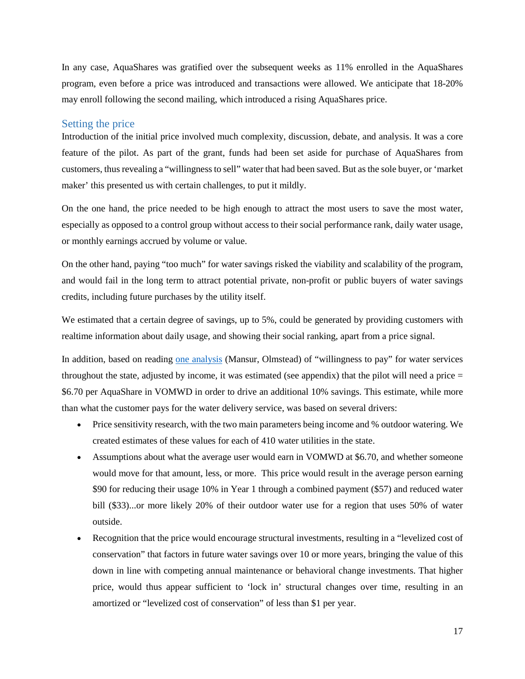In any case, AquaShares was gratified over the subsequent weeks as 11% enrolled in the AquaShares program, even before a price was introduced and transactions were allowed. We anticipate that 18-20% may enroll following the second mailing, which introduced a rising AquaShares price.

#### <span id="page-16-0"></span>Setting the price

Introduction of the initial price involved much complexity, discussion, debate, and analysis. It was a core feature of the pilot. As part of the grant, funds had been set aside for purchase of AquaShares from customers, thus revealing a "willingness to sell" water that had been saved. But as the sole buyer, or 'market maker' this presented us with certain challenges, to put it mildly.

On the one hand, the price needed to be high enough to attract the most users to save the most water, especially as opposed to a control group without access to their social performance rank, daily water usage, or monthly earnings accrued by volume or value.

On the other hand, paying "too much" for water savings risked the viability and scalability of the program, and would fail in the long term to attract potential private, non-profit or public buyers of water savings credits, including future purchases by the utility itself.

We estimated that a certain degree of savings, up to 5%, could be generated by providing customers with realtime information about daily usage, and showing their social ranking, apart from a price signal.

In addition, based on reading [one analysis](http://www.dartmouth.edu/%7Emansur/papers/mansur_olmstead_water.pdf) (Mansur, Olmstead) of "willingness to pay" for water services throughout the state, adjusted by income, it was estimated (see appendix) that the pilot will need a price  $=$ \$6.70 per AquaShare in VOMWD in order to drive an additional 10% savings. This estimate, while more than what the customer pays for the water delivery service, was based on several drivers:

- Price sensitivity research, with the two main parameters being income and % outdoor watering. We created estimates of these values for each of 410 water utilities in the state.
- Assumptions about what the average user would earn in VOMWD at \$6.70, and whether someone would move for that amount, less, or more. This price would result in the average person earning \$90 for reducing their usage 10% in Year 1 through a combined payment (\$57) and reduced water bill (\$33)...or more likely 20% of their outdoor water use for a region that uses 50% of water outside.
- Recognition that the price would encourage structural investments, resulting in a "levelized cost of conservation" that factors in future water savings over 10 or more years, bringing the value of this down in line with competing annual maintenance or behavioral change investments. That higher price, would thus appear sufficient to 'lock in' structural changes over time, resulting in an amortized or "levelized cost of conservation" of less than \$1 per year.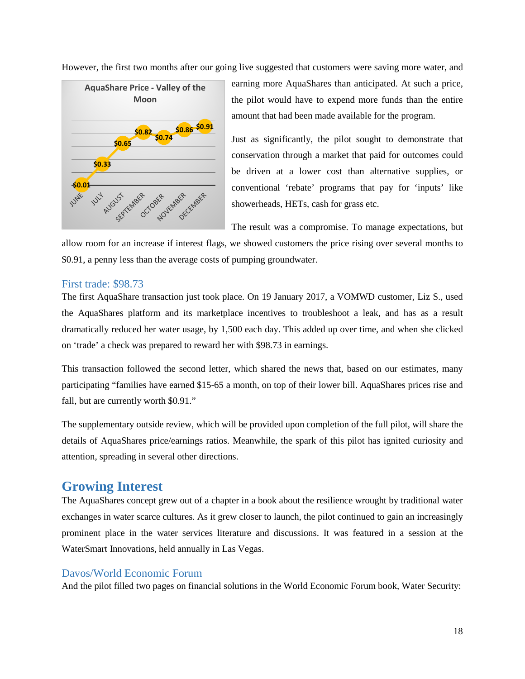

However, the first two months after our going live suggested that customers were saving more water, and

earning more AquaShares than anticipated. At such a price, the pilot would have to expend more funds than the entire amount that had been made available for the program.

Just as significantly, the pilot sought to demonstrate that conservation through a market that paid for outcomes could be driven at a lower cost than alternative supplies, or conventional 'rebate' programs that pay for 'inputs' like showerheads, HETs, cash for grass etc.

The result was a compromise. To manage expectations, but

allow room for an increase if interest flags, we showed customers the price rising over several months to \$0.91, a penny less than the average costs of pumping groundwater.

## <span id="page-17-0"></span>First trade: \$98.73

The first AquaShare transaction just took place. On 19 January 2017, a VOMWD customer, Liz S., used the AquaShares platform and its marketplace incentives to troubleshoot a leak, and has as a result dramatically reduced her water usage, by 1,500 each day. This added up over time, and when she clicked on 'trade' a check was prepared to reward her with \$98.73 in earnings.

This transaction followed the second letter, which shared the news that, based on our estimates, many participating "families have earned \$15-65 a month, on top of their lower bill. AquaShares prices rise and fall, but are currently worth \$0.91."

The supplementary outside review, which will be provided upon completion of the full pilot, will share the details of AquaShares price/earnings ratios. Meanwhile, the spark of this pilot has ignited curiosity and attention, spreading in several other directions.

# <span id="page-17-1"></span>**Growing Interest**

The AquaShares concept grew out of a chapter in a book about the resilience wrought by traditional water exchanges in water scarce cultures. As it grew closer to launch, the pilot continued to gain an increasingly prominent place in the water services literature and discussions. It was featured in a session at the WaterSmart Innovations, held annually in Las Vegas.

## <span id="page-17-2"></span>Davos/World Economic Forum

And the pilot filled two pages on financial solutions in the World Economic Forum book, Water Security: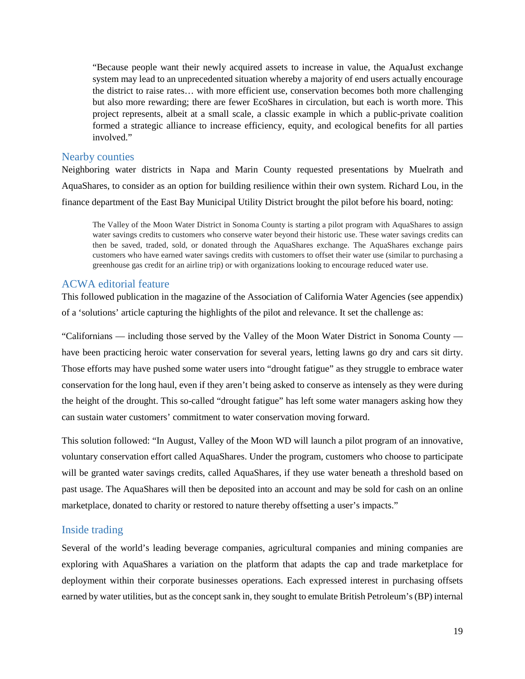"Because people want their newly acquired assets to increase in value, the AquaJust exchange system may lead to an unprecedented situation whereby a majority of end users actually encourage the district to raise rates… with more efficient use, conservation becomes both more challenging but also more rewarding; there are fewer EcoShares in circulation, but each is worth more. This project represents, albeit at a small scale, a classic example in which a public-private coalition formed a strategic alliance to increase efficiency, equity, and ecological benefits for all parties involved."

#### <span id="page-18-0"></span>Nearby counties

Neighboring water districts in Napa and Marin County requested presentations by Muelrath and AquaShares, to consider as an option for building resilience within their own system. Richard Lou, in the finance department of the East Bay Municipal Utility District brought the pilot before his board, noting:

The Valley of the Moon Water District in Sonoma County is starting a pilot program with AquaShares to assign water savings credits to customers who conserve water beyond their historic use. These water savings credits can then be saved, traded, sold, or donated through the AquaShares exchange. The AquaShares exchange pairs customers who have earned water savings credits with customers to offset their water use (similar to purchasing a greenhouse gas credit for an airline trip) or with organizations looking to encourage reduced water use.

## <span id="page-18-1"></span>ACWA editorial feature

This followed publication in the magazine of the Association of California Water Agencies (see appendix) of a 'solutions' article capturing the highlights of the pilot and relevance. It set the challenge as:

"Californians — including those served by the Valley of the Moon Water District in Sonoma County have been practicing heroic water conservation for several years, letting lawns go dry and cars sit dirty. Those efforts may have pushed some water users into "drought fatigue" as they struggle to embrace water conservation for the long haul, even if they aren't being asked to conserve as intensely as they were during the height of the drought. This so-called "drought fatigue" has left some water managers asking how they can sustain water customers' commitment to water conservation moving forward.

This solution followed: "In August, Valley of the Moon WD will launch a pilot program of an innovative, voluntary conservation effort called AquaShares. Under the program, customers who choose to participate will be granted water savings credits, called AquaShares, if they use water beneath a threshold based on past usage. The AquaShares will then be deposited into an account and may be sold for cash on an online marketplace, donated to charity or restored to nature thereby offsetting a user's impacts."

## <span id="page-18-2"></span>Inside trading

Several of the world's leading beverage companies, agricultural companies and mining companies are exploring with AquaShares a variation on the platform that adapts the cap and trade marketplace for deployment within their corporate businesses operations. Each expressed interest in purchasing offsets earned by water utilities, but as the concept sank in, they sought to emulate British Petroleum's(BP) internal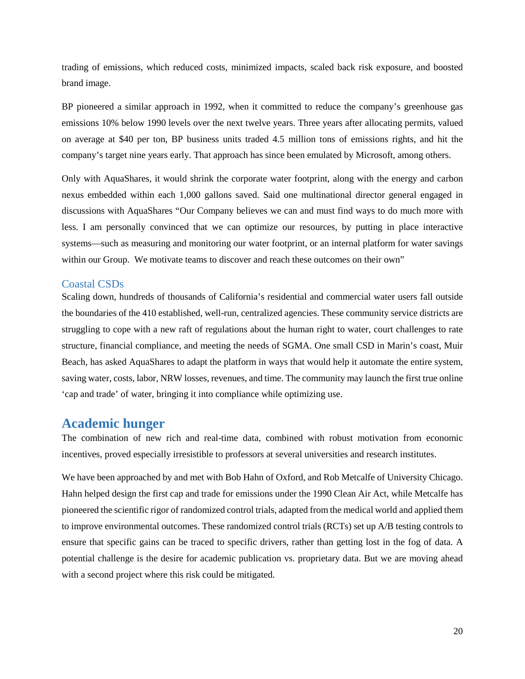trading of emissions, which reduced costs, minimized impacts, scaled back risk exposure, and boosted brand image.

BP pioneered a similar approach in 1992, when it committed to reduce the company's greenhouse gas emissions 10% below 1990 levels over the next twelve years. Three years after allocating permits, valued on average at \$40 per ton, BP business units traded 4.5 million tons of emissions rights, and hit the company's target nine years early. That approach has since been emulated by Microsoft, among others.

Only with AquaShares, it would shrink the corporate water footprint, along with the energy and carbon nexus embedded within each 1,000 gallons saved. Said one multinational director general engaged in discussions with AquaShares "Our Company believes we can and must find ways to do much more with less. I am personally convinced that we can optimize our resources, by putting in place interactive systems—such as measuring and monitoring our water footprint, or an internal platform for water savings within our Group. We motivate teams to discover and reach these outcomes on their own"

#### <span id="page-19-0"></span>Coastal CSDs

Scaling down, hundreds of thousands of California's residential and commercial water users fall outside the boundaries of the 410 established, well-run, centralized agencies. These community service districts are struggling to cope with a new raft of regulations about the human right to water, court challenges to rate structure, financial compliance, and meeting the needs of SGMA. One small CSD in Marin's coast, Muir Beach, has asked AquaShares to adapt the platform in ways that would help it automate the entire system, saving water, costs, labor, NRW losses, revenues, and time. The community may launch the first true online 'cap and trade' of water, bringing it into compliance while optimizing use.

# <span id="page-19-1"></span>**Academic hunger**

The combination of new rich and real-time data, combined with robust motivation from economic incentives, proved especially irresistible to professors at several universities and research institutes.

We have been approached by and met with Bob Hahn of Oxford, and Rob Metcalfe of University Chicago. Hahn helped design the first cap and trade for emissions under the 1990 Clean Air Act, while Metcalfe has pioneered the scientific rigor of randomized control trials, adapted from the medical world and applied them to improve environmental outcomes. These randomized control trials (RCTs) set up A/B testing controls to ensure that specific gains can be traced to specific drivers, rather than getting lost in the fog of data. A potential challenge is the desire for academic publication vs. proprietary data. But we are moving ahead with a second project where this risk could be mitigated.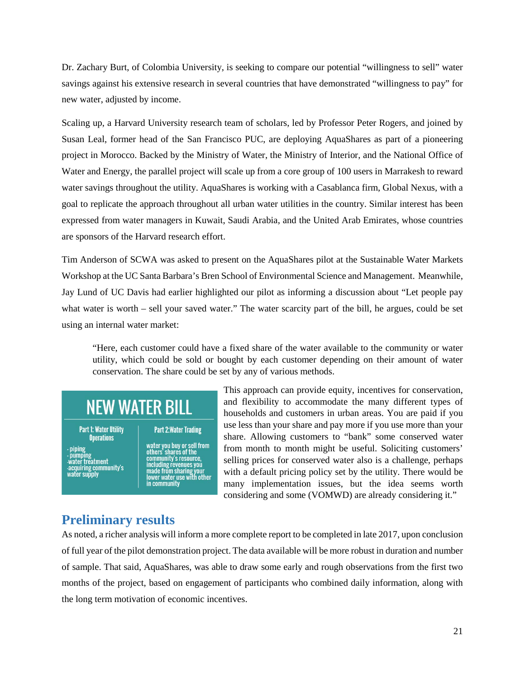Dr. Zachary Burt, of Colombia University, is seeking to compare our potential "willingness to sell" water savings against his extensive research in several countries that have demonstrated "willingness to pay" for new water, adjusted by income.

Scaling up, a Harvard University research team of scholars, led by Professor Peter Rogers, and joined by Susan Leal, former head of the San Francisco PUC, are deploying AquaShares as part of a pioneering project in Morocco. Backed by the Ministry of Water, the Ministry of Interior, and the National Office of Water and Energy, the parallel project will scale up from a core group of 100 users in Marrakesh to reward water savings throughout the utility. AquaShares is working with a Casablanca firm, Global Nexus, with a goal to replicate the approach throughout all urban water utilities in the country. Similar interest has been expressed from water managers in Kuwait, Saudi Arabia, and the United Arab Emirates, whose countries are sponsors of the Harvard research effort.

Tim Anderson of SCWA was asked to present on the AquaShares pilot at the Sustainable Water Markets Workshop at the UC Santa Barbara's Bren School of Environmental Science and Management. Meanwhile, Jay Lund of UC Davis had earlier highlighted our pilot as informing a discussion about "Let people pay what water is worth – sell your saved water." The water scarcity part of the bill, he argues, could be set using an internal water market:

"Here, each customer could have a fixed share of the water available to the community or water utility, which could be sold or bought by each customer depending on their amount of water conservation. The share could be set by any of various methods.

# **NEW WATER BILL**

#### **Part 1: Water Utility Operations**

- pumping<br>-water treatment<br>-acquiring community's<br>water supply

water you buy or sell from<br>others' shares of the<br>community's resource,<br>moluding resource, including revenues you<br>made from sharing your<br>lower water use with other<br>in community

**Part 2: Water Trading** 

This approach can provide equity, incentives for conservation, and flexibility to accommodate the many different types of households and customers in urban areas. You are paid if you use less than your share and pay more if you use more than your share. Allowing customers to "bank" some conserved water from month to month might be useful. Soliciting customers' selling prices for conserved water also is a challenge, perhaps with a default pricing policy set by the utility. There would be many implementation issues, but the idea seems worth considering and some (VOMWD) are already considering it."

# <span id="page-20-0"></span>**Preliminary results**

As noted, a richer analysis will inform a more complete report to be completed in late 2017, upon conclusion of full year of the pilot demonstration project. The data available will be more robust in duration and number of sample. That said, AquaShares, was able to draw some early and rough observations from the first two months of the project, based on engagement of participants who combined daily information, along with the long term motivation of economic incentives.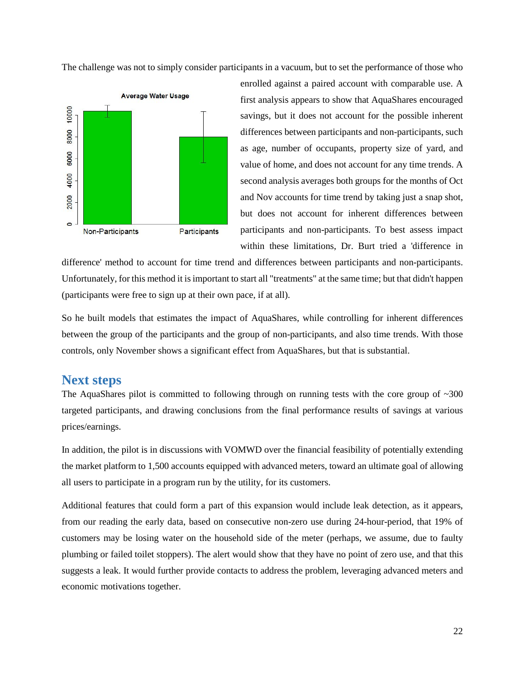The challenge was not to simply consider participants in a vacuum, but to set the performance of those who



enrolled against a paired account with comparable use. A first analysis appears to show that AquaShares encouraged savings, but it does not account for the possible inherent differences between participants and non-participants, such as age, number of occupants, property size of yard, and value of home, and does not account for any time trends. A second analysis averages both groups for the months of Oct and Nov accounts for time trend by taking just a snap shot, but does not account for inherent differences between participants and non-participants. To best assess impact within these limitations, Dr. Burt tried a 'difference in

difference' method to account for time trend and differences between participants and non-participants. Unfortunately, for this method it is important to start all "treatments" at the same time; but that didn't happen (participants were free to sign up at their own pace, if at all).

So he built models that estimates the impact of AquaShares, while controlling for inherent differences between the group of the participants and the group of non-participants, and also time trends. With those controls, only November shows a significant effect from AquaShares, but that is substantial.

# <span id="page-21-0"></span>**Next steps**

The AquaShares pilot is committed to following through on running tests with the core group of  $\sim 300$ targeted participants, and drawing conclusions from the final performance results of savings at various prices/earnings.

In addition, the pilot is in discussions with VOMWD over the financial feasibility of potentially extending the market platform to 1,500 accounts equipped with advanced meters, toward an ultimate goal of allowing all users to participate in a program run by the utility, for its customers.

Additional features that could form a part of this expansion would include leak detection, as it appears, from our reading the early data, based on consecutive non-zero use during 24-hour-period, that 19% of customers may be losing water on the household side of the meter (perhaps, we assume, due to faulty plumbing or failed toilet stoppers). The alert would show that they have no point of zero use, and that this suggests a leak. It would further provide contacts to address the problem, leveraging advanced meters and economic motivations together.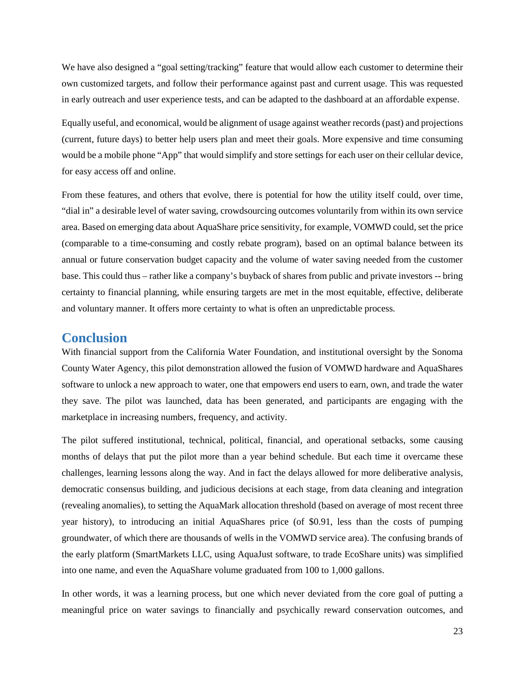We have also designed a "goal setting/tracking" feature that would allow each customer to determine their own customized targets, and follow their performance against past and current usage. This was requested in early outreach and user experience tests, and can be adapted to the dashboard at an affordable expense.

Equally useful, and economical, would be alignment of usage against weather records (past) and projections (current, future days) to better help users plan and meet their goals. More expensive and time consuming would be a mobile phone "App" that would simplify and store settings for each user on their cellular device, for easy access off and online.

From these features, and others that evolve, there is potential for how the utility itself could, over time, "dial in" a desirable level of water saving, crowdsourcing outcomes voluntarily from within its own service area. Based on emerging data about AquaShare price sensitivity, for example, VOMWD could, set the price (comparable to a time-consuming and costly rebate program), based on an optimal balance between its annual or future conservation budget capacity and the volume of water saving needed from the customer base. This could thus – rather like a company's buyback of shares from public and private investors -- bring certainty to financial planning, while ensuring targets are met in the most equitable, effective, deliberate and voluntary manner. It offers more certainty to what is often an unpredictable process.

#### <span id="page-22-0"></span>**Conclusion**

With financial support from the California Water Foundation, and institutional oversight by the Sonoma County Water Agency, this pilot demonstration allowed the fusion of VOMWD hardware and AquaShares software to unlock a new approach to water, one that empowers end users to earn, own, and trade the water they save. The pilot was launched, data has been generated, and participants are engaging with the marketplace in increasing numbers, frequency, and activity.

The pilot suffered institutional, technical, political, financial, and operational setbacks, some causing months of delays that put the pilot more than a year behind schedule. But each time it overcame these challenges, learning lessons along the way. And in fact the delays allowed for more deliberative analysis, democratic consensus building, and judicious decisions at each stage, from data cleaning and integration (revealing anomalies), to setting the AquaMark allocation threshold (based on average of most recent three year history), to introducing an initial AquaShares price (of \$0.91, less than the costs of pumping groundwater, of which there are thousands of wells in the VOMWD service area). The confusing brands of the early platform (SmartMarkets LLC, using AquaJust software, to trade EcoShare units) was simplified into one name, and even the AquaShare volume graduated from 100 to 1,000 gallons.

In other words, it was a learning process, but one which never deviated from the core goal of putting a meaningful price on water savings to financially and psychically reward conservation outcomes, and